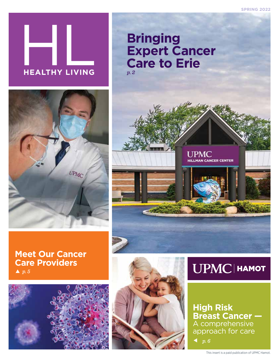

### **Bringing Expert Cancer Care to Erie** *p. 2*











**High Risk Breast Cancer —**  A comprehensive approach for care

*p. 6*

**UPMC** 

**HILLMAN CANCER CENTER**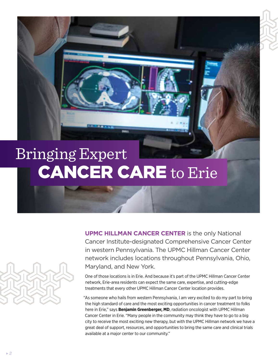# Bringing Expert CANCER CARE to Erie



**UPMC HILLMAN CANCER CENTER** is the only National Cancer Institute-designated Comprehensive Cancer Center in western Pennsylvania. The UPMC Hillman Cancer Center network includes locations throughout Pennsylvania, Ohio, Maryland, and New York.

One of those locations is in Erie. And because it's part of the UPMC Hillman Cancer Center network, Erie-area residents can expect the same care, expertise, and cutting-edge treatments that every other UPMC Hillman Cancer Center location provides.

"As someone who hails from western Pennsylvania, I am very excited to do my part to bring the high standard of care and the most exciting opportunities in cancer treatment to folks here in Erie," says **Benjamin Greenberger, MD**, radiation oncologist with UPMC Hillman Cancer Center in Erie. "Many people in the community may think they have to go to a big city to receive the most exciting new therapy, but with the UPMC Hillman network we have a great deal of support, resources, and opportunities to bring the same care and clinical trials available at a major center to our community."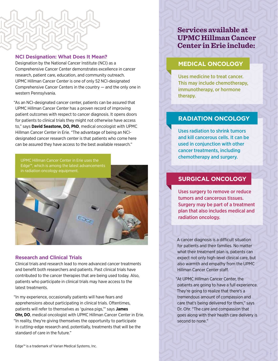

#### **NCI Designation: What Does It Mean?**

Designation by the National Cancer Institute (NCI) as a Comprehensive Cancer Center demonstrates excellence in cancer research, patient care, education, and community outreach. UPMC Hillman Cancer Center is one of only 52 NCI-designated Comprehensive Cancer Centers in the country — and the only one in western Pennsylvania.

"As an NCI-designated cancer center, patients can be assured that UPMC Hillman Cancer Center has a proven record of improving patient outcomes with respect to cancer diagnosis. It opens doors for patients to clinical trials they might not otherwise have access to," says **David Seastone, DO, PhD**, medical oncologist with UPMC Hillman Cancer Center in Erie. "The advantage of being an NCIdesignated cancer research center is that patients who come here can be assured they have access to the best available research."

UPMC Hillman Cancer Center in Erie uses the Edge™, which is among the latest advancements in radiation oncology equipment.

#### **Research and Clinical Trials**

Clinical trials and research lead to more advanced cancer treatments and benefit both researchers and patients. Past clinical trials have contributed to the cancer therapies that are being used today. Also, patients who participate in clinical trials may have access to the latest treatments.

"In my experience, occasionally patients will have fears and apprehensions about participating in clinical trials. Oftentimes, patients will refer to themselves as 'guinea pigs,'" says **James Ohr, DO**, medical oncologist with UPMC Hillman Cancer Center in Erie. "In reality, they're giving themselves the opportunity to participate in cutting-edge research and, potentially, treatments that will be the standard of care in the future."

**Services available at UPMC Hillman Cancer Center in Erie include:**

#### **MEDICAL ONCOLOGY**

Uses medicine to treat cancer. This may include chemotherapy, immunotherapy, or hormone therapy.

#### **RADIATION ONCOLOGY**

Uses radiation to shrink tumors and kill cancerous cells. It can be used in conjunction with other cancer treatments, including chemotherapy and surgery.

#### **SURGICAL ONCOLOGY**

Uses surgery to remove or reduce tumors and cancerous tissues. Surgery may be part of a treatment plan that also includes medical and radiation oncology.

A cancer diagnosis is a difficult situation for patients and their families. No matter what their treatment plan is, patients can expect not only high-level clinical care, but also warmth and empathy from the UPMC Hillman Cancer Center staff.

"At UPMC Hillman Cancer Center, the patients are going to have a full experience. They're going to realize that there's a tremendous amount of compassion and care that's being delivered for them," says Dr. Ohr. "The care and compassion that goes along with their health care delivery is second to none."

*3*

Edge™ is a trademark of Varian Medical Systems, Inc.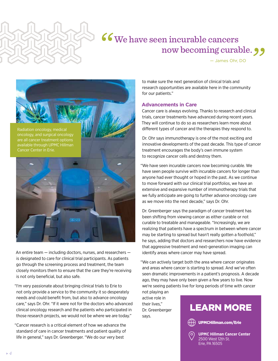

## We have seen incurable cancers now becoming curable. **99**

— James Ohr, DO



An entire team — including doctors, nurses, and researchers is designated to care for clinical trial participants. As patients go through the screening process and treatment, the team closely monitors them to ensure that the care they're receiving is not only beneficial, but also safe.

"I'm very passionate about bringing clinical trials to Erie to not only provide a service to the community it so desperately needs and could benefit from, but also to advance oncology care," says Dr. Ohr. "If it were not for the doctors who advanced clinical oncology research and the patients who participated in those research projects, we would not be where we are today."

"Cancer research is a critical element of how we advance the standard of care in cancer treatments and patient quality of life in general," says Dr. Greenberger. "We do our very best

to make sure the next generation of clinical trials and research opportunities are available here in the community for our patients."

#### **Advancements in Care**

Cancer care is always evolving. Thanks to research and clinical trials, cancer treatments have advanced during recent years. They will continue to do so as researchers learn more about different types of cancer and the therapies they respond to.

Dr. Ohr says immunotherapy is one of the most exciting and innovative developments of the past decade. This type of cancer treatment encourages the body's own immune system to recognize cancer cells and destroy them.

"We have seen incurable cancers now becoming curable. We have seen people survive with incurable cancers for longer than anyone had ever thought or hoped in the past. As we continue to move forward with our clinical trial portfolios, we have an extensive and expansive number of immunotherapy trials that we fully anticipate are going to further advance oncology care as we move into the next decade," says Dr. Ohr.

Dr. Greenberger says the paradigm of cancer treatment has been shifting from viewing cancer as either curable or not curable to treatable and manageable. "Increasingly, we are realizing that patients have a spectrum in between where cancer may be starting to spread but hasn't really gotten a foothold," he says, adding that doctors and researchers now have evidence that aggressive treatment and next-generation imaging can identify areas where cancer may have spread.

"We can actively target both the area where cancer originates and areas where cancer is starting to spread. And we've often seen dramatic improvements in a patient's prognosis. A decade ago, they may have only been given a few years to live. Now we're seeing patients live for long periods of time with cancer not playing an

active role in their lives," Dr. Greenberger says.

### LEARN MORE





**UPMC Hillman Cancer Center** 2500 West 12th St. Erie, PA 16505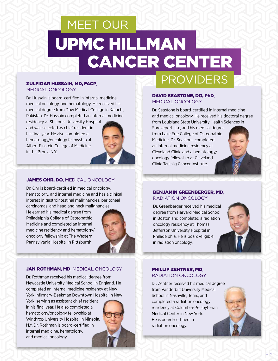# MEET OUR UPMC HILLMAN **CANCER CENTER**

#### ZULFIQAR HUSSAIN, MD, FACP,

MEDICAL ONCOLOGY

Dr. Hussain is board-certified in internal medicine, medical oncology, and hematology. He received his medical degree from Dow Medical College in Karachi, Pakistan. Dr. Hussain completed an internal medicine residency at St. Louis University Hospital and was selected as chief resident in his final year. He also completed a hematology/oncology fellowship at Albert Einstein College of Medicine in the Bronx, N.Y.

#### JAMES OHR, DO, MEDICAL ONCOLOGY

Dr. Ohr is board-certified in medical oncology, hematology, and internal medicine and has a clinical interest in gastrointestinal malignancies, peritoneal carcinomas, and head and neck malignancies.

He earned his medical degree from Philadelphia College of Osteopathic Medicine and completed an internal medicine residency and hematology/ oncology fellowship at The Western Pennsylvania Hospital in Pittsburgh.



#### JAN ROTHMAN, MD, MEDICAL ONCOLOGY

Dr. Rothman received his medical degree from Newcastle University Medical School in England. He completed an internal medicine residency at New York Infirmary-Beekman Downtown Hospital in New

York, serving as assistant chief resident in his final year. He also completed a hematology/oncology fellowship at Winthrop University Hospital in Mineola, N.Y. Dr. Rothman is board-certified in internal medicine, hematology, and medical oncology.



## PROVIDERS

#### DAVID SEASTONE, DO, PhD, MEDICAL ONCOLOGY

Dr. Seastone is board-certified in internal medicine and medical oncology. He received his doctoral degree from Louisiana State University Health Sciences in Shreveport, La., and his medical degree from Lake Erie College of Osteopathic Medicine. Dr. Seastone completed an internal medicine residency at Cleveland Clinic and a hematology/ oncology fellowship at Cleveland Clinic Taussig Cancer Institute.

#### BENJAMIN GREENBERGER, MD, RADIATION ONCOLOGY

Dr. Greenberger received his medical degree from Harvard Medical School in Boston and completed a radiation oncology residency at Thomas Jefferson University Hospital in Philadelphia. He is board-eligible in radiation oncology.



#### PHILLIP ZENTNER, MD, RADIATION ONCOLOGY

Dr. Zentner received his medical degree from Vanderbilt University Medical School in Nashville, Tenn., and completed a radiation oncology residency at Columbia-Presbyterian Medical Center in New York. He is board-certified in radiation oncology.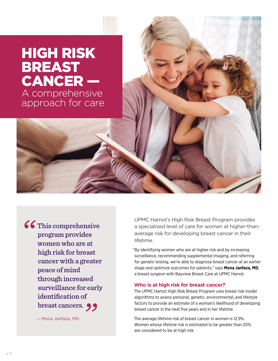# HIGH RISK BREAST CANCER —

A comprehensive approach for care

66 This comprehensive program provides women who are at high risk for breast cancer with a greater peace of mind through increased surveillance for early identification of breast cancers. 99

— Mona Janfaza, MD

UPMC Hamot's High Risk Breast Program provides a specialized level of care for women at higher-thanaverage risk for developing breast cancer in their lifetime.

"By identifying women who are at higher risk and by increasing surveillance, recommending supplemental imaging, and referring for genetic testing, we're able to diagnose breast cancer at an earlier stage and optimize outcomes for patients," says **Mona Janfaza, MD**, a breast surgeon with Bayview Breast Care at UPMC Hamot.

#### **Who is at high risk for breast cancer?**

The UPMC Hamot High Risk Breast Program uses breast risk model algorithms to assess personal, genetic, environmental, and lifestyle factors to provide an estimate of a woman's likelihood of developing breast cancer in the next five years and in her lifetime.

The average lifetime risk of breast cancer in women is 12.9%. Women whose lifetime risk is estimated to be greater than 20% are considered to be at high risk.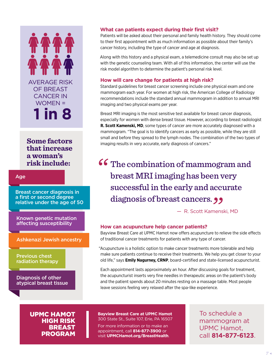# AVERAGE RISK OF BREAST CANCER IN WOMEN = **1 in 8**

**Some factors that increase a woman's risk include:** 

#### Age

Breast cancer diagnosis in a first or second degree relative under the age of 50

Known genetic mutation affecting susceptibility

Ashkenazi Jewish ancestry

Previous chest radiation therapy

Diagnosis of other atypical breast tissue

#### **What can patients expect during their first visit?**

Patients will be asked about their personal and family health history. They should come to their first appointment with as much information as possible about their family's cancer history, including the type of cancer and age at diagnosis.

Along with this history and a physical exam, a telemedicine consult may also be set up with the genetic counseling team. With all of this information, the center will use the risk model algorithm to determine the patient's personal risk level.

#### **How will care change for patients at high risk?**

Standard guidelines for breast cancer screening include one physical exam and one mammogram each year. For women at high risk, the American College of Radiology recommendations include the standard annual mammogram in addition to annual MRI imaging and two physical exams per year.

Breast MRI imaging is the most sensitive test available for breast cancer diagnosis, especially for women with dense breast tissue. However, according to breast radiologist **R. Scott Kamenski, MD**, some types of cancer are more accurately diagnosed with a mammogram. "The goal is to identify cancers as early as possible, while they are still small and before they spread to the lymph nodes. The combination of the two types of imaging results in very accurate, early diagnosis of cancers."

The combination of mammogram and breast MRI imaging has been very successful in the early and accurate diagnosis of breast cancers. **99** 

— R. Scott Kamenski, MD

#### **How can acupuncture help cancer patients?**

Bayview Breast Care at UPMC Hamot now offers acupuncture to relieve the side effects of traditional cancer treatments for patients with any type of cancer.

"Acupuncture is a holistic option to make cancer treatments more tolerable and help make sure patients continue to receive their treatments. We help you get closer to your old life," says **Emily Nagurney, CRNP**, board-certified and state-licensed acupuncturist.

Each appointment lasts approximately an hour. After discussing goals for treatment, the acupuncturist inserts very fine needles in therapeutic areas on the patient's body and the patient spends about 20 minutes resting on a massage table. Most people leave sessions feeling very relaxed after the spa-like experience.

UPMC HAMOT HIGH RISK BREAST PROGRAM

**Bayview Breast Care at UPMC Hamot**  300 State St., Suite 107, Erie, PA 16507

For more information or to make an appointment, call **814-877-3900** or visit **[UPMCHamot.org/BreastHealth](http://UPMCHamot.org/BreastHealth)**. To schedule a mammogram at UPMC Hamot, call **814-877-6123**.